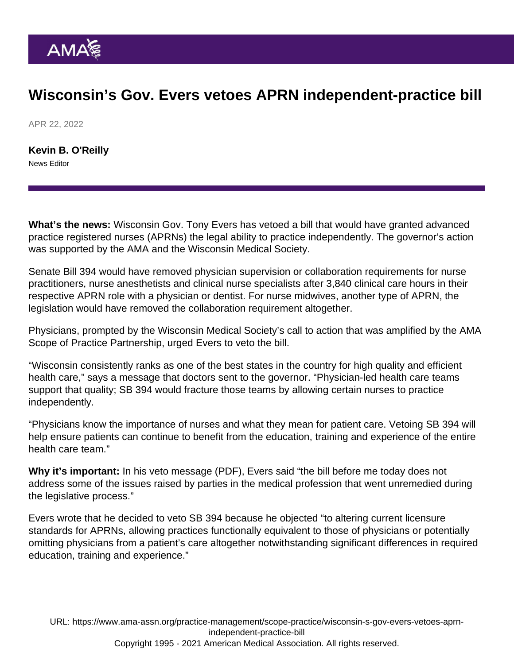## Wisconsin's Gov. Evers vetoes APRN independent-practice bill

APR 22, 2022

[Kevin B. O'Reilly](https://www.ama-assn.org/news-leadership-viewpoints/authors-news-leadership-viewpoints/kevin-b-oreilly) News Editor

What's the news: Wisconsin Gov. Tony Evers has vetoed a bill that would have granted advanced practice registered nurses (APRNs) the legal ability to practice independently. The governor's action was supported by the AMA and the Wisconsin Medical Society.

Senate Bill 394 would have removed physician supervision or collaboration requirements for nurse practitioners, nurse anesthetists and clinical nurse specialists after 3,840 clinical care hours in their respective APRN role with a physician or dentist. For nurse midwives, another type of APRN, the legislation would have removed the collaboration requirement altogether.

Physicians, prompted by the Wisconsin Medical Society's call to action that was amplified by the AMA Scope of Practice Partnership, urged Evers to veto the bill.

"Wisconsin consistently ranks as one of the best states in the country for high quality and efficient health care," says a message that doctors sent to the governor. "Physician-led health care teams support that quality; SB 394 would fracture those teams by allowing certain nurses to practice independently.

"Physicians know the importance of nurses and what they mean for patient care. Vetoing SB 394 will help ensure patients can continue to benefit from the education, training and experience of the entire health care team."

Why it's important: In his [veto message](https://content.govdelivery.com/attachments/WIGOV/2022/04/15/file_attachments/2133552/Signed Veto Message - SB 394.pdf) (PDF), Evers said "the bill before me today does not address some of the issues raised by parties in the medical profession that went unremedied during the legislative process."

Evers wrote that he decided to veto SB 394 because he objected "to altering current licensure standards for APRNs, allowing practices functionally equivalent to those of physicians or potentially omitting physicians from a patient's care altogether notwithstanding significant differences in required education, training and experience."

URL: [https://www.ama-assn.org/practice-management/scope-practice/wisconsin-s-gov-evers-vetoes-aprn](https://www.ama-assn.org/practice-management/scope-practice/wisconsin-s-gov-evers-vetoes-aprn-independent-practice-bill)[independent-practice-bill](https://www.ama-assn.org/practice-management/scope-practice/wisconsin-s-gov-evers-vetoes-aprn-independent-practice-bill) Copyright 1995 - 2021 American Medical Association. All rights reserved.